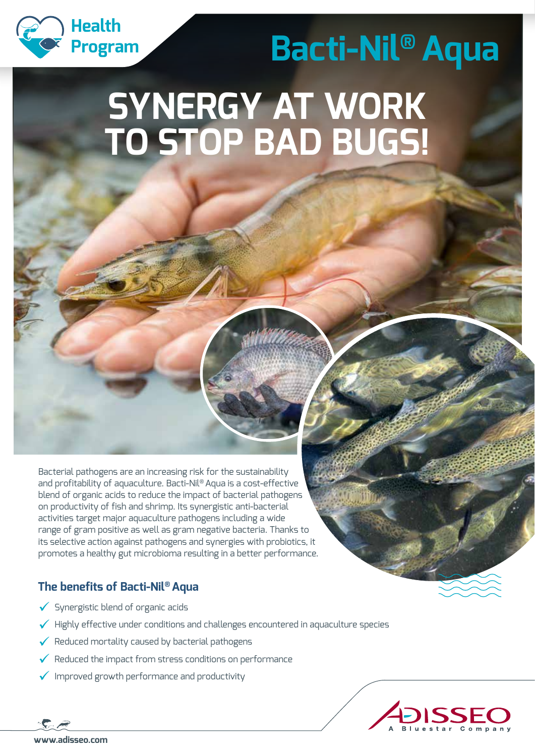

# **SYNERGY AT WORK TO STOP BAD BUGS! Bacti-Nil® Aqua**

Bacterial pathogens are an increasing risk for the sustainability and profitability of aquaculture. Bacti-Nil® Aqua is a cost-effective blend of organic acids to reduce the impact of bacterial pathogens on productivity of fish and shrimp. Its synergistic anti-bacterial activities target major aquaculture pathogens including a wide range of gram positive as well as gram negative bacteria. Thanks to its selective action against pathogens and synergies with probiotics, it promotes a healthy gut microbioma resulting in a better performance.

### **The benefits of Bacti-Nil® Aqua**

- $\checkmark$  Synergistic blend of organic acids
- $\checkmark$  Highly effective under conditions and challenges encountered in aquaculture species
- $\checkmark$  Reduced mortality caused by bacterial pathogens
- $\checkmark$  Reduced the impact from stress conditions on performance
- $\checkmark$  Improved growth performance and productivity



**www.adisseo.com**